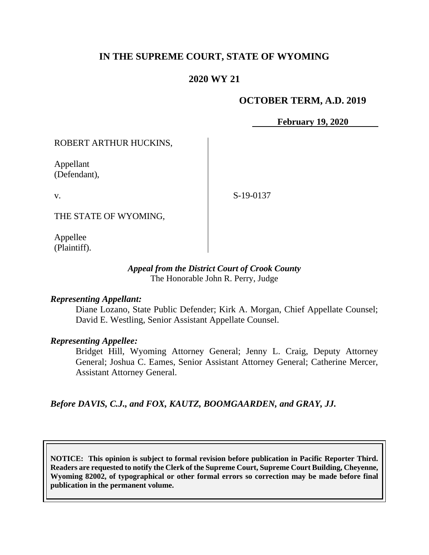# **IN THE SUPREME COURT, STATE OF WYOMING**

# **2020 WY 21**

## **OCTOBER TERM, A.D. 2019**

**February 19, 2020**

### ROBERT ARTHUR HUCKINS,

Appellant (Defendant),

v.

S-19-0137

THE STATE OF WYOMING,

Appellee (Plaintiff).

#### *Appeal from the District Court of Crook County* The Honorable John R. Perry, Judge

#### *Representing Appellant:*

Diane Lozano, State Public Defender; Kirk A. Morgan, Chief Appellate Counsel; David E. Westling, Senior Assistant Appellate Counsel.

#### *Representing Appellee:*

Bridget Hill, Wyoming Attorney General; Jenny L. Craig, Deputy Attorney General; Joshua C. Eames, Senior Assistant Attorney General; Catherine Mercer, Assistant Attorney General.

*Before DAVIS, C.J., and FOX, KAUTZ, BOOMGAARDEN, and GRAY, JJ.*

**NOTICE: This opinion is subject to formal revision before publication in Pacific Reporter Third. Readers are requested to notify the Clerk of the Supreme Court, Supreme Court Building, Cheyenne, Wyoming 82002, of typographical or other formal errors so correction may be made before final publication in the permanent volume.**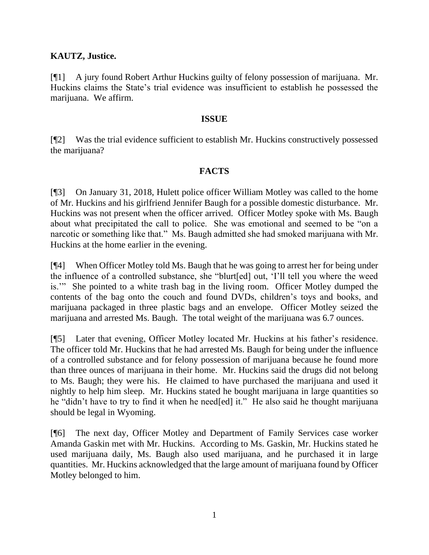## **KAUTZ, Justice.**

[¶1] A jury found Robert Arthur Huckins guilty of felony possession of marijuana. Mr. Huckins claims the State's trial evidence was insufficient to establish he possessed the marijuana. We affirm.

### **ISSUE**

[¶2] Was the trial evidence sufficient to establish Mr. Huckins constructively possessed the marijuana?

## **FACTS**

[¶3] On January 31, 2018, Hulett police officer William Motley was called to the home of Mr. Huckins and his girlfriend Jennifer Baugh for a possible domestic disturbance. Mr. Huckins was not present when the officer arrived. Officer Motley spoke with Ms. Baugh about what precipitated the call to police. She was emotional and seemed to be "on a narcotic or something like that." Ms. Baugh admitted she had smoked marijuana with Mr. Huckins at the home earlier in the evening.

[¶4] When Officer Motley told Ms. Baugh that he was going to arrest her for being under the influence of a controlled substance, she "blurt[ed] out, 'I'll tell you where the weed is.'" She pointed to a white trash bag in the living room. Officer Motley dumped the contents of the bag onto the couch and found DVDs, children's toys and books, and marijuana packaged in three plastic bags and an envelope. Officer Motley seized the marijuana and arrested Ms. Baugh. The total weight of the marijuana was 6.7 ounces.

[¶5] Later that evening, Officer Motley located Mr. Huckins at his father's residence. The officer told Mr. Huckins that he had arrested Ms. Baugh for being under the influence of a controlled substance and for felony possession of marijuana because he found more than three ounces of marijuana in their home. Mr. Huckins said the drugs did not belong to Ms. Baugh; they were his. He claimed to have purchased the marijuana and used it nightly to help him sleep. Mr. Huckins stated he bought marijuana in large quantities so he "didn't have to try to find it when he need[ed] it." He also said he thought marijuana should be legal in Wyoming.

[¶6] The next day, Officer Motley and Department of Family Services case worker Amanda Gaskin met with Mr. Huckins. According to Ms. Gaskin, Mr. Huckins stated he used marijuana daily, Ms. Baugh also used marijuana, and he purchased it in large quantities. Mr. Huckins acknowledged that the large amount of marijuana found by Officer Motley belonged to him.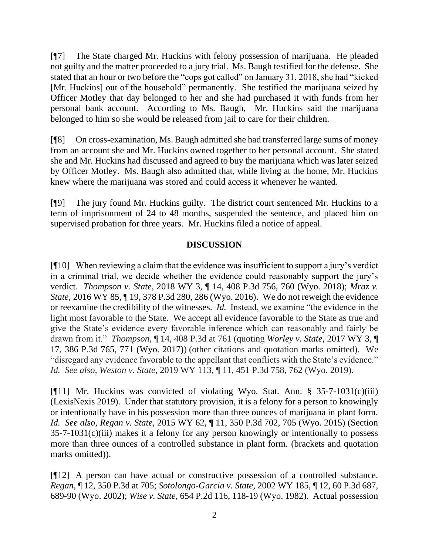[¶7] The State charged Mr. Huckins with felony possession of marijuana. He pleaded not guilty and the matter proceeded to a jury trial. Ms. Baugh testified for the defense. She stated that an hour or two before the "cops got called" on January 31, 2018, she had "kicked [Mr. Huckins] out of the household" permanently. She testified the marijuana seized by Officer Motley that day belonged to her and she had purchased it with funds from her personal bank account. According to Ms. Baugh, Mr. Huckins said the marijuana belonged to him so she would be released from jail to care for their children.

[¶8] On cross-examination, Ms. Baugh admitted she had transferred large sums of money from an account she and Mr. Huckins owned together to her personal account. She stated she and Mr. Huckins had discussed and agreed to buy the marijuana which was later seized by Officer Motley. Ms. Baugh also admitted that, while living at the home, Mr. Huckins knew where the marijuana was stored and could access it whenever he wanted.

[¶9] The jury found Mr. Huckins guilty. The district court sentenced Mr. Huckins to a term of imprisonment of 24 to 48 months, suspended the sentence, and placed him on supervised probation for three years. Mr. Huckins filed a notice of appeal.

## **DISCUSSION**

[¶10] When reviewing a claim that the evidence was insufficient to support a jury's verdict in a criminal trial, we decide whether the evidence could reasonably support the jury's verdict. *Thompson v. State,* 2018 WY 3, ¶ 14, 408 P.3d 756, 760 (Wyo. 2018); *Mraz v. State,* 2016 WY 85, ¶ 19, 378 P.3d 280, 286 (Wyo. 2016). We do not reweigh the evidence or reexamine the credibility of the witnesses. *Id.* Instead, we examine "the evidence in the light most favorable to the State. We accept all evidence favorable to the State as true and give the State's evidence every favorable inference which can reasonably and fairly be drawn from it." *Thompson,* ¶ 14, 408 P.3d at 761 (quoting *Worley v. State,* 2017 WY 3, ¶ 17, 386 P.3d 765, 771 (Wyo. 2017)) (other citations and quotation marks omitted). We "disregard any evidence favorable to the appellant that conflicts with the State's evidence." *Id. See also, Weston v. State,* 2019 WY 113, ¶ 11, 451 P.3d 758, 762 (Wyo. 2019).

[ $[$ [11] Mr. Huckins was convicted of violating Wyo. Stat. Ann. § 35-7-1031(c)(iii) (LexisNexis 2019). Under that statutory provision, it is a felony for a person to knowingly or intentionally have in his possession more than three ounces of marijuana in plant form. *Id. See also, Regan v. State,* 2015 WY 62, ¶ 11, 350 P.3d 702, 705 (Wyo. 2015) (Section  $35-7-1031(c)(iii)$  makes it a felony for any person knowingly or intentionally to possess more than three ounces of a controlled substance in plant form. (brackets and quotation marks omitted)).

[¶12] A person can have actual or constructive possession of a controlled substance. *Regan,* ¶ 12, 350 P.3d at 705; *Sotolongo-Garcia v. State,* 2002 WY 185, ¶ 12, 60 P.3d 687, 689-90 (Wyo. 2002); *Wise v. State,* 654 P.2d 116, 118-19 (Wyo. 1982). Actual possession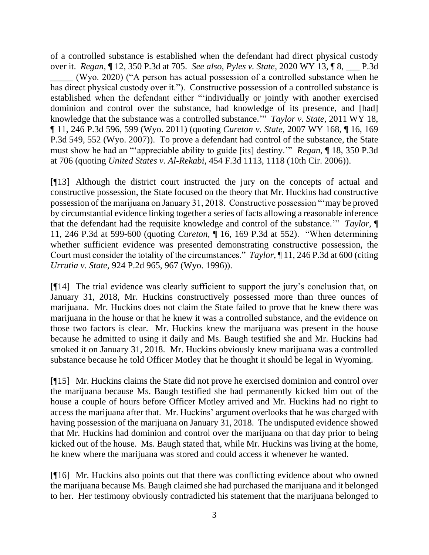of a controlled substance is established when the defendant had direct physical custody over it. *Regan,* ¶ 12, 350 P.3d at 705. *See also*, *Pyles v. State,* 2020 WY 13, ¶ 8, \_\_\_ P.3d \_\_\_\_\_ (Wyo. 2020) ("A person has actual possession of a controlled substance when he has direct physical custody over it."). Constructive possession of a controlled substance is established when the defendant either "'individually or jointly with another exercised dominion and control over the substance, had knowledge of its presence, and [had] knowledge that the substance was a controlled substance.'" *Taylor v. State,* 2011 WY 18, ¶ 11, 246 P.3d 596, 599 (Wyo. 2011) (quoting *Cureton v. State,* 2007 WY 168, ¶ 16, 169 P.3d 549, 552 (Wyo. 2007)). To prove a defendant had control of the substance, the State must show he had an "'appreciable ability to guide [its] destiny.'" *Regan,* ¶ 18, 350 P.3d at 706 (quoting *United States v. Al-Rekabi,* 454 F.3d 1113, 1118 (10th Cir. 2006)).

[¶13] Although the district court instructed the jury on the concepts of actual and constructive possession, the State focused on the theory that Mr. Huckins had constructive possession of the marijuana on January 31, 2018. Constructive possession "'may be proved by circumstantial evidence linking together a series of facts allowing a reasonable inference that the defendant had the requisite knowledge and control of the substance.'" *Taylor,* ¶ 11, 246 P.3d at 599-600 (quoting *Cureton,* ¶ 16, 169 P.3d at 552). "When determining whether sufficient evidence was presented demonstrating constructive possession, the Court must consider the totality of the circumstances." *Taylor,* ¶ 11, 246 P.3d at 600 (citing *Urrutia v. State,* 924 P.2d 965, 967 (Wyo. 1996)).

[¶14] The trial evidence was clearly sufficient to support the jury's conclusion that, on January 31, 2018, Mr. Huckins constructively possessed more than three ounces of marijuana. Mr. Huckins does not claim the State failed to prove that he knew there was marijuana in the house or that he knew it was a controlled substance, and the evidence on those two factors is clear. Mr. Huckins knew the marijuana was present in the house because he admitted to using it daily and Ms. Baugh testified she and Mr. Huckins had smoked it on January 31, 2018. Mr. Huckins obviously knew marijuana was a controlled substance because he told Officer Motley that he thought it should be legal in Wyoming.

[¶15] Mr. Huckins claims the State did not prove he exercised dominion and control over the marijuana because Ms. Baugh testified she had permanently kicked him out of the house a couple of hours before Officer Motley arrived and Mr. Huckins had no right to access the marijuana after that. Mr. Huckins' argument overlooks that he was charged with having possession of the marijuana on January 31, 2018. The undisputed evidence showed that Mr. Huckins had dominion and control over the marijuana on that day prior to being kicked out of the house. Ms. Baugh stated that, while Mr. Huckins was living at the home, he knew where the marijuana was stored and could access it whenever he wanted.

[¶16] Mr. Huckins also points out that there was conflicting evidence about who owned the marijuana because Ms. Baugh claimed she had purchased the marijuana and it belonged to her. Her testimony obviously contradicted his statement that the marijuana belonged to